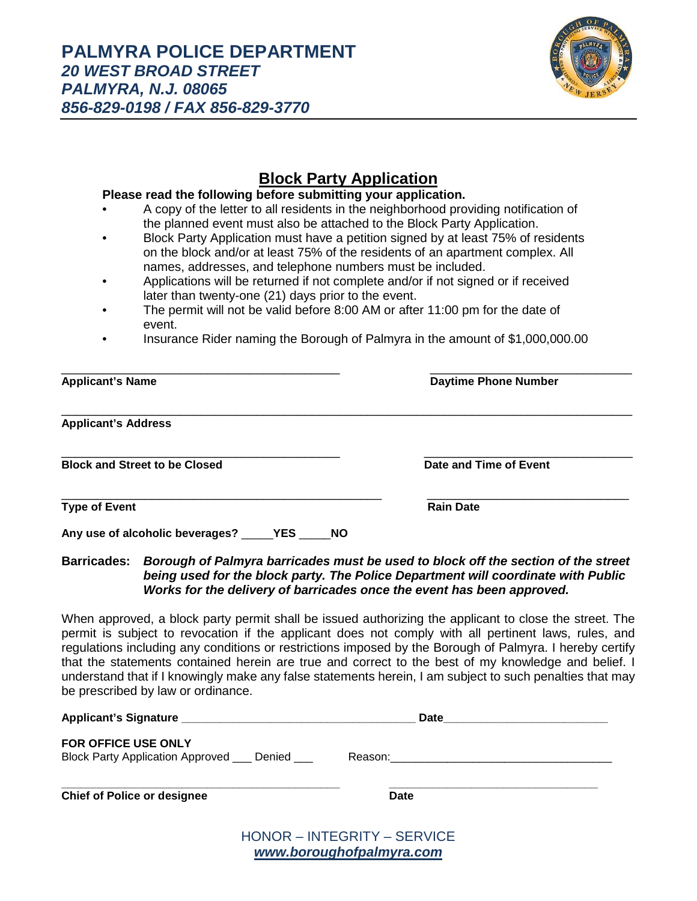

## **Block Party Application**

## **Please read the following before submitting your application.**

- A copy of the letter to all residents in the neighborhood providing notification of the planned event must also be attached to the Block Party Application.
- Block Party Application must have a petition signed by at least 75% of residents on the block and/or at least 75% of the residents of an apartment complex. All names, addresses, and telephone numbers must be included.
- Applications will be returned if not complete and/or if not signed or if received later than twenty-one (21) days prior to the event.
- The permit will not be valid before 8:00 AM or after 11:00 pm for the date of event.
- Insurance Rider naming the Borough of Palmyra in the amount of \$1,000,000.00

| <b>Applicant's Name</b>                               | <b>Daytime Phone Number</b> |
|-------------------------------------------------------|-----------------------------|
| <b>Applicant's Address</b>                            |                             |
| <b>Block and Street to be Closed</b>                  | Date and Time of Event      |
| <b>Type of Event</b>                                  | <b>Rain Date</b>            |
| Any use of alcoholic beverages? _____YES ____<br>- NO |                             |

## **Barricades:** *Borough of Palmyra barricades must be used to block off the section of the street being used for the block party. The Police Department will coordinate with Public Works for the delivery of barricades once the event has been approved.*

When approved, a block party permit shall be issued authorizing the applicant to close the street. The permit is subject to revocation if the applicant does not comply with all pertinent laws, rules, and regulations including any conditions or restrictions imposed by the Borough of Palmyra. I hereby certify that the statements contained herein are true and correct to the best of my knowledge and belief. I understand that if I knowingly make any false statements herein, I am subject to such penalties that may be prescribed by law or ordinance.

|                                                                                 | Date                               |  |
|---------------------------------------------------------------------------------|------------------------------------|--|
| <b>FOR OFFICE USE ONLY</b><br>Block Party Application Approved ____ Denied ____ |                                    |  |
| <b>Chief of Police or designee</b>                                              | <b>Date</b>                        |  |
|                                                                                 | <b>HONOR - INTEGRITY - SERVICE</b> |  |

*[www.boroughofpalmyra.com](http://www.boroughofpalmyra.com/)*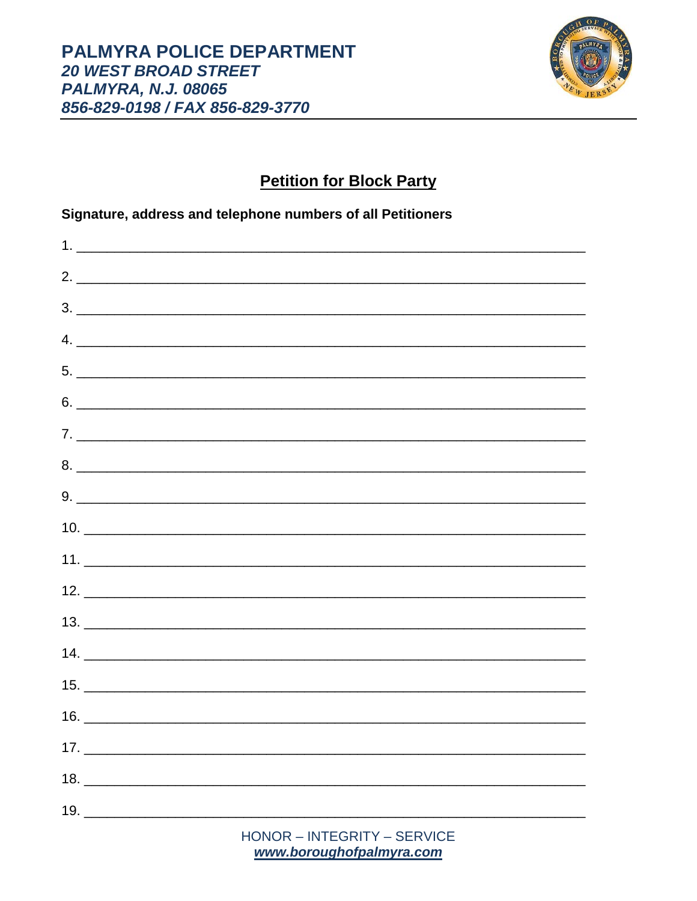

## **Petition for Block Party**

Signature, address and telephone numbers of all Petitioners

| 2.                                           |  |  |
|----------------------------------------------|--|--|
| $3.$ $\overline{\phantom{a}}$                |  |  |
|                                              |  |  |
| $5.$ $\overline{\phantom{a}}$                |  |  |
| $6.$ $\overline{\phantom{a}}$                |  |  |
|                                              |  |  |
| 8.                                           |  |  |
| $9. \begin{tabular}{l} \hline \end{tabular}$ |  |  |
|                                              |  |  |
|                                              |  |  |
| 12.                                          |  |  |
|                                              |  |  |
|                                              |  |  |
| 15.                                          |  |  |
|                                              |  |  |
|                                              |  |  |
|                                              |  |  |
|                                              |  |  |
|                                              |  |  |